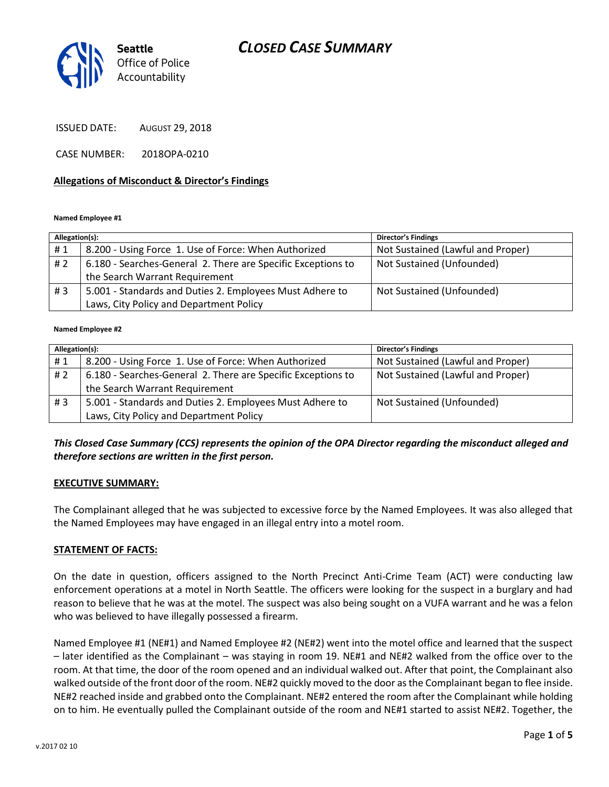## *CLOSED CASE SUMMARY*



ISSUED DATE: AUGUST 29, 2018

CASE NUMBER: 2018OPA-0210

#### **Allegations of Misconduct & Director's Findings**

**Named Employee #1**

| Allegation(s): |                                                              | <b>Director's Findings</b>        |
|----------------|--------------------------------------------------------------|-----------------------------------|
| #1             | 8.200 - Using Force 1. Use of Force: When Authorized         | Not Sustained (Lawful and Proper) |
| # 2            | 6.180 - Searches-General 2. There are Specific Exceptions to | Not Sustained (Unfounded)         |
|                | the Search Warrant Requirement                               |                                   |
| #3             | 5.001 - Standards and Duties 2. Employees Must Adhere to     | Not Sustained (Unfounded)         |
|                | Laws, City Policy and Department Policy                      |                                   |

#### **Named Employee #2**

| Allegation(s): |                                                              | <b>Director's Findings</b>        |
|----------------|--------------------------------------------------------------|-----------------------------------|
| #1             | 8.200 - Using Force 1. Use of Force: When Authorized         | Not Sustained (Lawful and Proper) |
| #2             | 6.180 - Searches-General 2. There are Specific Exceptions to | Not Sustained (Lawful and Proper) |
|                | the Search Warrant Requirement                               |                                   |
| #3             | 5.001 - Standards and Duties 2. Employees Must Adhere to     | Not Sustained (Unfounded)         |
|                | Laws, City Policy and Department Policy                      |                                   |

#### *This Closed Case Summary (CCS) represents the opinion of the OPA Director regarding the misconduct alleged and therefore sections are written in the first person.*

#### **EXECUTIVE SUMMARY:**

The Complainant alleged that he was subjected to excessive force by the Named Employees. It was also alleged that the Named Employees may have engaged in an illegal entry into a motel room.

#### **STATEMENT OF FACTS:**

On the date in question, officers assigned to the North Precinct Anti-Crime Team (ACT) were conducting law enforcement operations at a motel in North Seattle. The officers were looking for the suspect in a burglary and had reason to believe that he was at the motel. The suspect was also being sought on a VUFA warrant and he was a felon who was believed to have illegally possessed a firearm.

Named Employee #1 (NE#1) and Named Employee #2 (NE#2) went into the motel office and learned that the suspect – later identified as the Complainant – was staying in room 19. NE#1 and NE#2 walked from the office over to the room. At that time, the door of the room opened and an individual walked out. After that point, the Complainant also walked outside of the front door of the room. NE#2 quickly moved to the door as the Complainant began to flee inside. NE#2 reached inside and grabbed onto the Complainant. NE#2 entered the room after the Complainant while holding on to him. He eventually pulled the Complainant outside of the room and NE#1 started to assist NE#2. Together, the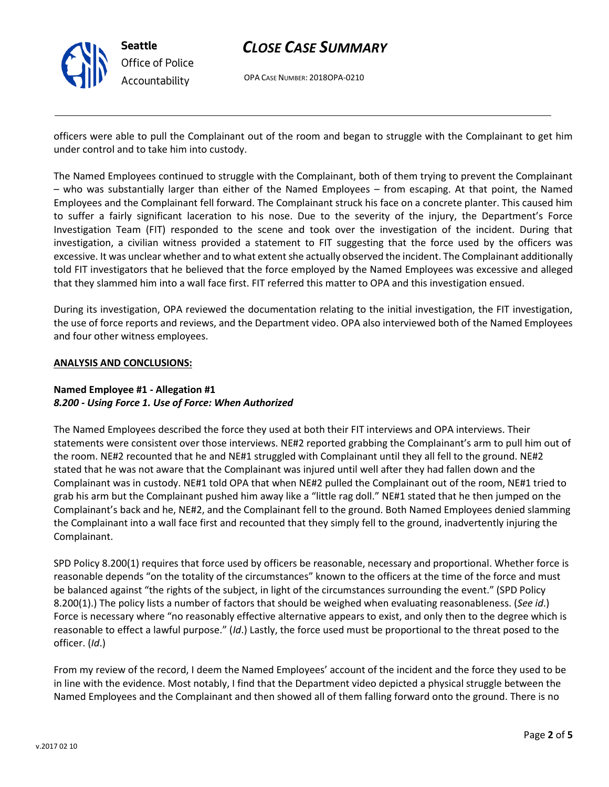

## *CLOSE CASE SUMMARY*

OPA CASE NUMBER: 2018OPA-0210

officers were able to pull the Complainant out of the room and began to struggle with the Complainant to get him under control and to take him into custody.

The Named Employees continued to struggle with the Complainant, both of them trying to prevent the Complainant – who was substantially larger than either of the Named Employees – from escaping. At that point, the Named Employees and the Complainant fell forward. The Complainant struck his face on a concrete planter. This caused him to suffer a fairly significant laceration to his nose. Due to the severity of the injury, the Department's Force Investigation Team (FIT) responded to the scene and took over the investigation of the incident. During that investigation, a civilian witness provided a statement to FIT suggesting that the force used by the officers was excessive. It was unclear whether and to what extent she actually observed the incident. The Complainant additionally told FIT investigators that he believed that the force employed by the Named Employees was excessive and alleged that they slammed him into a wall face first. FIT referred this matter to OPA and this investigation ensued.

During its investigation, OPA reviewed the documentation relating to the initial investigation, the FIT investigation, the use of force reports and reviews, and the Department video. OPA also interviewed both of the Named Employees and four other witness employees.

#### **ANALYSIS AND CONCLUSIONS:**

### **Named Employee #1 - Allegation #1** *8.200 - Using Force 1. Use of Force: When Authorized*

The Named Employees described the force they used at both their FIT interviews and OPA interviews. Their statements were consistent over those interviews. NE#2 reported grabbing the Complainant's arm to pull him out of the room. NE#2 recounted that he and NE#1 struggled with Complainant until they all fell to the ground. NE#2 stated that he was not aware that the Complainant was injured until well after they had fallen down and the Complainant was in custody. NE#1 told OPA that when NE#2 pulled the Complainant out of the room, NE#1 tried to grab his arm but the Complainant pushed him away like a "little rag doll." NE#1 stated that he then jumped on the Complainant's back and he, NE#2, and the Complainant fell to the ground. Both Named Employees denied slamming the Complainant into a wall face first and recounted that they simply fell to the ground, inadvertently injuring the Complainant.

SPD Policy 8.200(1) requires that force used by officers be reasonable, necessary and proportional. Whether force is reasonable depends "on the totality of the circumstances" known to the officers at the time of the force and must be balanced against "the rights of the subject, in light of the circumstances surrounding the event." (SPD Policy 8.200(1).) The policy lists a number of factors that should be weighed when evaluating reasonableness. (*See id*.) Force is necessary where "no reasonably effective alternative appears to exist, and only then to the degree which is reasonable to effect a lawful purpose." (*Id*.) Lastly, the force used must be proportional to the threat posed to the officer. (*Id*.)

From my review of the record, I deem the Named Employees' account of the incident and the force they used to be in line with the evidence. Most notably, I find that the Department video depicted a physical struggle between the Named Employees and the Complainant and then showed all of them falling forward onto the ground. There is no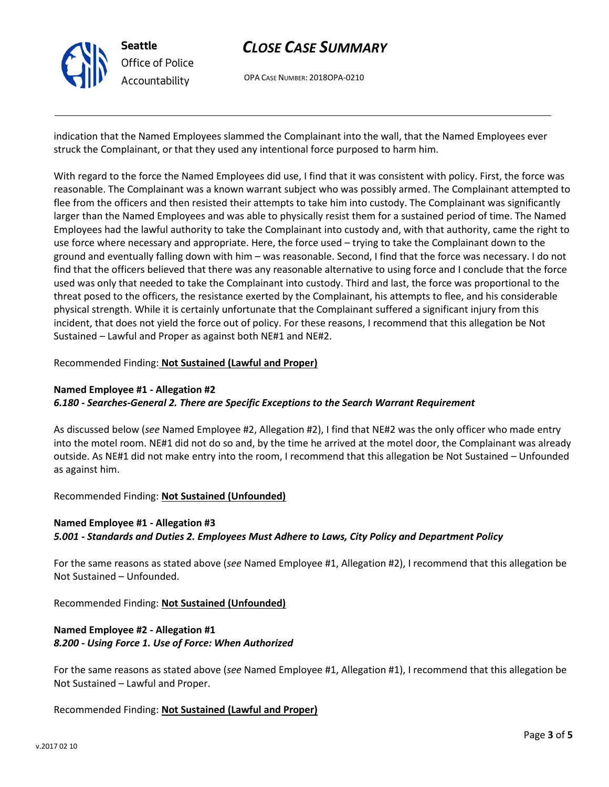

## *CLOSE CASE SUMMARY*

OPA CASE NUMBER: 2018OPA-0210

indication that the Named Employees slammed the Complainant into the wall, that the Named Employees ever struck the Complainant, or that they used any intentional force purposed to harm him.

With regard to the force the Named Employees did use, I find that it was consistent with policy. First, the force was reasonable. The Complainant was a known warrant subject who was possibly armed. The Complainant attempted to flee from the officers and then resisted their attempts to take him into custody. The Complainant was significantly larger than the Named Employees and was able to physically resist them for a sustained period of time. The Named Employees had the lawful authority to take the Complainant into custody and, with that authority, came the right to use force where necessary and appropriate. Here, the force used – trying to take the Complainant down to the ground and eventually falling down with him – was reasonable. Second, I find that the force was necessary. I do not find that the officers believed that there was any reasonable alternative to using force and I conclude that the force used was only that needed to take the Complainant into custody. Third and last, the force was proportional to the threat posed to the officers, the resistance exerted by the Complainant, his attempts to flee, and his considerable physical strength. While it is certainly unfortunate that the Complainant suffered a significant injury from this incident, that does not yield the force out of policy. For these reasons, I recommend that this allegation be Not Sustained – Lawful and Proper as against both NE#1 and NE#2.

#### Recommended Finding: **Not Sustained (Lawful and Proper)**

#### **Named Employee #1 - Allegation #2** *6.180 - Searches-General 2. There are Specific Exceptions to the Search Warrant Requirement*

As discussed below (*see* Named Employee #2, Allegation #2), I find that NE#2 was the only officer who made entry into the motel room. NE#1 did not do so and, by the time he arrived at the motel door, the Complainant was already outside. As NE#1 did not make entry into the room, I recommend that this allegation be Not Sustained – Unfounded as against him.

Recommended Finding: **Not Sustained (Unfounded)**

## **Named Employee #1 - Allegation #3** *5.001 - Standards and Duties 2. Employees Must Adhere to Laws, City Policy and Department Policy*

For the same reasons as stated above (*see* Named Employee #1, Allegation #2), I recommend that this allegation be Not Sustained – Unfounded.

Recommended Finding: **Not Sustained (Unfounded)**

## **Named Employee #2 - Allegation #1** *8.200 - Using Force 1. Use of Force: When Authorized*

For the same reasons as stated above (*see* Named Employee #1, Allegation #1), I recommend that this allegation be Not Sustained – Lawful and Proper.

### Recommended Finding: **Not Sustained (Lawful and Proper)**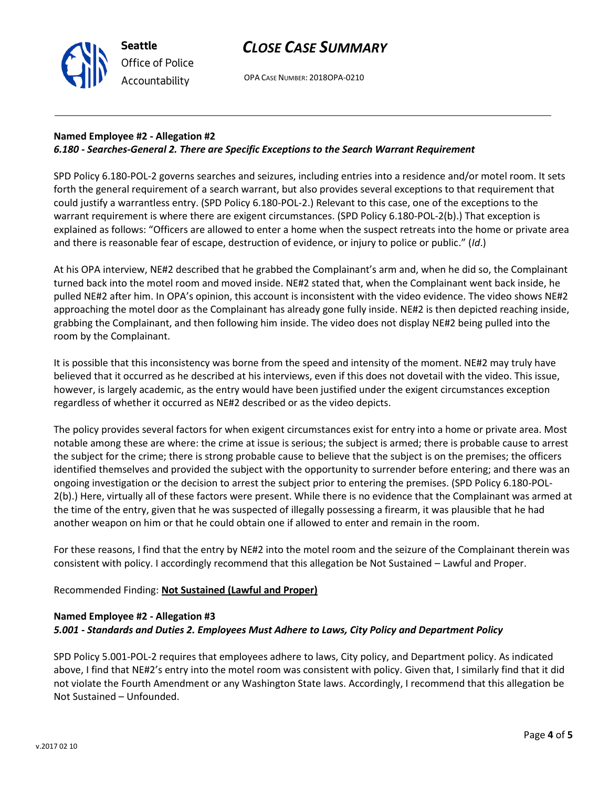OPA CASE NUMBER: 2018OPA-0210

### **Named Employee #2 - Allegation #2** *6.180 - Searches-General 2. There are Specific Exceptions to the Search Warrant Requirement*

SPD Policy 6.180-POL-2 governs searches and seizures, including entries into a residence and/or motel room. It sets forth the general requirement of a search warrant, but also provides several exceptions to that requirement that could justify a warrantless entry. (SPD Policy 6.180-POL-2.) Relevant to this case, one of the exceptions to the warrant requirement is where there are exigent circumstances. (SPD Policy 6.180-POL-2(b).) That exception is explained as follows: "Officers are allowed to enter a home when the suspect retreats into the home or private area and there is reasonable fear of escape, destruction of evidence, or injury to police or public." (*Id*.)

At his OPA interview, NE#2 described that he grabbed the Complainant's arm and, when he did so, the Complainant turned back into the motel room and moved inside. NE#2 stated that, when the Complainant went back inside, he pulled NE#2 after him. In OPA's opinion, this account is inconsistent with the video evidence. The video shows NE#2 approaching the motel door as the Complainant has already gone fully inside. NE#2 is then depicted reaching inside, grabbing the Complainant, and then following him inside. The video does not display NE#2 being pulled into the room by the Complainant.

It is possible that this inconsistency was borne from the speed and intensity of the moment. NE#2 may truly have believed that it occurred as he described at his interviews, even if this does not dovetail with the video. This issue, however, is largely academic, as the entry would have been justified under the exigent circumstances exception regardless of whether it occurred as NE#2 described or as the video depicts.

The policy provides several factors for when exigent circumstances exist for entry into a home or private area. Most notable among these are where: the crime at issue is serious; the subject is armed; there is probable cause to arrest the subject for the crime; there is strong probable cause to believe that the subject is on the premises; the officers identified themselves and provided the subject with the opportunity to surrender before entering; and there was an ongoing investigation or the decision to arrest the subject prior to entering the premises. (SPD Policy 6.180-POL-2(b).) Here, virtually all of these factors were present. While there is no evidence that the Complainant was armed at the time of the entry, given that he was suspected of illegally possessing a firearm, it was plausible that he had another weapon on him or that he could obtain one if allowed to enter and remain in the room.

For these reasons, I find that the entry by NE#2 into the motel room and the seizure of the Complainant therein was consistent with policy. I accordingly recommend that this allegation be Not Sustained – Lawful and Proper.

Recommended Finding: **Not Sustained (Lawful and Proper)**

#### **Named Employee #2 - Allegation #3**

**Seattle**

*Office of Police Accountability*

#### *5.001 - Standards and Duties 2. Employees Must Adhere to Laws, City Policy and Department Policy*

SPD Policy 5.001-POL-2 requires that employees adhere to laws, City policy, and Department policy. As indicated above, I find that NE#2's entry into the motel room was consistent with policy. Given that, I similarly find that it did not violate the Fourth Amendment or any Washington State laws. Accordingly, I recommend that this allegation be Not Sustained – Unfounded.